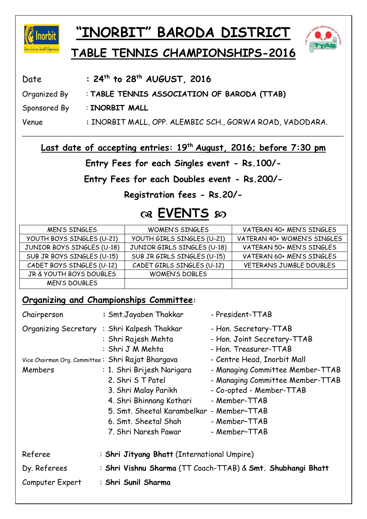

# **"INORBIT" BARODA DISTRICT**



## **TABLE TENNIS CHAMPIONSHIPS-2016**

| Date         | : $24^{th}$ to $28^{th}$ AUGUST, $2016$                  |
|--------------|----------------------------------------------------------|
| Organized By | : TABLE TENNIS ASSOCIATION OF BARODA (TTAB)              |
| Sponsored By | : INORBIT MALL                                           |
| Venue        | : INORBIT MALL, OPP. ALEMBIC SCH., GORWA ROAD, VADODARA. |

Last date of accepting entries: 19<sup>th</sup> August, 2016; before 7:30 pm

\_\_\_\_\_\_\_\_\_\_\_\_\_\_\_\_\_\_\_\_\_\_\_\_\_\_\_\_\_\_\_\_\_\_\_\_\_\_\_\_\_\_\_\_\_\_\_\_\_\_\_\_\_\_\_\_\_\_\_\_\_\_\_\_\_\_\_\_\_\_\_\_\_\_\_\_\_\_\_\_\_\_\_\_\_\_\_\_\_\_\_\_\_\_\_\_\_\_\_\_\_\_\_\_

**Entry Fees for each Singles event - Rs.100/-** 

**Entry Fees for each Doubles event - Rs.200/-** 

**Registration fees - Rs.20/-**

### **EVENTS**

| <b>MEN'S SINGLES</b>       | <b>WOMEN'S SINGLES</b>      | VATERAN 40+ MEN'S SINGLES   |
|----------------------------|-----------------------------|-----------------------------|
| YOUTH BOYS SINGLES (U-21)  | YOUTH GIRLS SINGLES (U-21)  | VATERAN 40+ WOMEN'S SINGLES |
| JUNIOR BOYS SINGLES (U-18) | JUNIOR GIRLS SINGLES (U-18) | VATERAN 50+ MEN'S SINGLES   |
| SUB JR BOYS SINGLES (U-15) | SUB JR GIRLS SINGLES (U-15) | VATERAN 60+ MEN'S SINGLES   |
| CADET BOYS SINGLES (U-12)  | CADET GIRLS SINGLES (U-12)  | VETERANS JUMBLE DOUBLES     |
| JR & YOUTH BOYS DOUBLES    | <b>WOMEN'S DOBLES</b>       |                             |
| <b>MEN'S DOUBLES</b>       |                             |                             |

#### **Organizing and Championships Committee:**

| Chairperson                                       | : Smt.Jayaben Thakkar                                                                  | - President-TTAB                                                              |  |
|---------------------------------------------------|----------------------------------------------------------------------------------------|-------------------------------------------------------------------------------|--|
|                                                   | Organizing Secretary : Shri Kalpesh Thakkar<br>: Shri Rajesh Mehta<br>: Shri J M Mehta | - Hon. Secretary-TTAB<br>- Hon. Joint Secretary-TTAB<br>- Hon. Treasurer-TTAB |  |
| Vice Chairman Org. Committee: Shri Rajat Bhargava |                                                                                        | - Centre Head, Inorbit Mall                                                   |  |
| Members                                           | : 1. Shri Brijesh Narigara                                                             | - Managing Committee Member-TTAB                                              |  |
|                                                   | 2. Shri S T Patel                                                                      | - Managing Committee Member-TTAB                                              |  |
|                                                   | 3. Shri Malay Parikh                                                                   | - Co-opted - Member-TTAB                                                      |  |
|                                                   | 4. Shri Bhinnang Kothari                                                               | - Member-TTAB                                                                 |  |
|                                                   | 5. Smt. Sheetal Karambelkar - Member-TTAB                                              |                                                                               |  |
|                                                   | 6. Smt. Sheetal Shah                                                                   | - Member-TTAB                                                                 |  |
|                                                   | 7. Shri Naresh Pawar                                                                   | - Member-TTAB                                                                 |  |
| Referee                                           | : Shri Jityang Bhatt (International Umpire)                                            |                                                                               |  |
| Dy. Referees                                      | : Shri Vishnu Sharma (TT Coach-TTAB) & Smt. Shubhangi Bhatt                            |                                                                               |  |
| Computer Expert                                   | : Shri Sunil Sharma                                                                    |                                                                               |  |